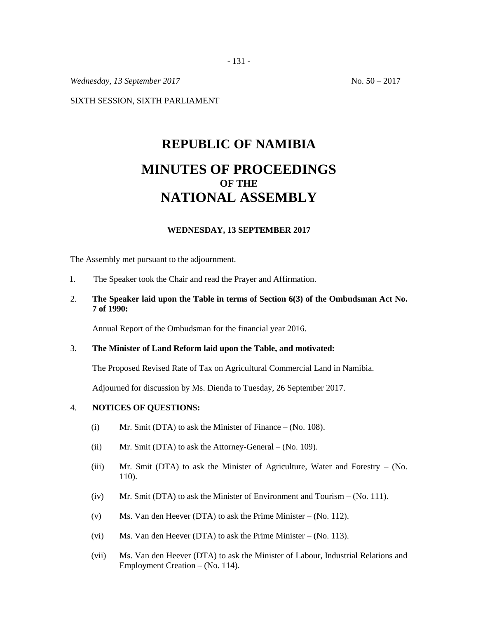*Wednesday,* 13 *September* 2017 **No. 50** – 2017

SIXTH SESSION, SIXTH PARLIAMENT

# **REPUBLIC OF NAMIBIA MINUTES OF PROCEEDINGS OF THE NATIONAL ASSEMBLY**

### **WEDNESDAY, 13 SEPTEMBER 2017**

The Assembly met pursuant to the adjournment.

- 1. The Speaker took the Chair and read the Prayer and Affirmation.
- 2. **The Speaker laid upon the Table in terms of Section 6(3) of the Ombudsman Act No. 7 of 1990:**

Annual Report of the Ombudsman for the financial year 2016.

## 3. **The Minister of Land Reform laid upon the Table, and motivated:**

The Proposed Revised Rate of Tax on Agricultural Commercial Land in Namibia.

Adjourned for discussion by Ms. Dienda to Tuesday, 26 September 2017.

## 4. **NOTICES OF QUESTIONS:**

- (i) Mr. Smit (DTA) to ask the Minister of Finance  $-$  (No. 108).
- (ii) Mr. Smit (DTA) to ask the Attorney-General  $-$  (No. 109).
- (iii) Mr. Smit (DTA) to ask the Minister of Agriculture, Water and Forestry (No. 110).
- (iv) Mr. Smit (DTA) to ask the Minister of Environment and Tourism (No. 111).
- (v) Ms. Van den Heever (DTA) to ask the Prime Minister (No. 112).
- (vi) Ms. Van den Heever (DTA) to ask the Prime Minister (No. 113).
- (vii) Ms. Van den Heever (DTA) to ask the Minister of Labour, Industrial Relations and Employment Creation – (No. 114).